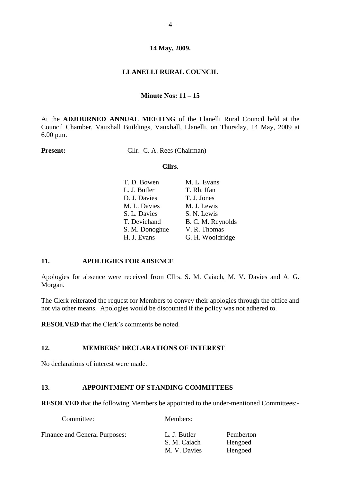## **LLANELLI RURAL COUNCIL**

## **Minute Nos: 11 – 15**

At the **ADJOURNED ANNUAL MEETING** of the Llanelli Rural Council held at the Council Chamber, Vauxhall Buildings, Vauxhall, Llanelli, on Thursday, 14 May, 2009 at 6.00 p.m.

**Present:** Cllr. C. A. Rees (Chairman)

### **Cllrs.**

| T. D. Bowen    | M. L. Evans       |
|----------------|-------------------|
| L. J. Butler   | T. Rh. Ifan       |
| D. J. Davies   | T. J. Jones       |
| M. L. Davies   | M. J. Lewis       |
| S. L. Davies   | S. N. Lewis       |
| T. Devichand   | B. C. M. Reynolds |
| S. M. Donoghue | V. R. Thomas      |
| H. J. Evans    | G. H. Wooldridge  |
|                |                   |

## **11. APOLOGIES FOR ABSENCE**

Apologies for absence were received from Cllrs. S. M. Caiach, M. V. Davies and A. G. Morgan.

The Clerk reiterated the request for Members to convey their apologies through the office and not via other means. Apologies would be discounted if the policy was not adhered to.

**RESOLVED** that the Clerk's comments be noted.

## **12. MEMBERS' DECLARATIONS OF INTEREST**

No declarations of interest were made.

## **13. APPOINTMENT OF STANDING COMMITTEES**

Committee: Members:

**RESOLVED** that the following Members be appointed to the under-mentioned Committees:-

| <b>Finance and General Purposes:</b> | L. J. Butler | Pemberton |
|--------------------------------------|--------------|-----------|
|                                      | S. M. Caiach | Hengoed   |
|                                      | M. V. Davies | Hengoed   |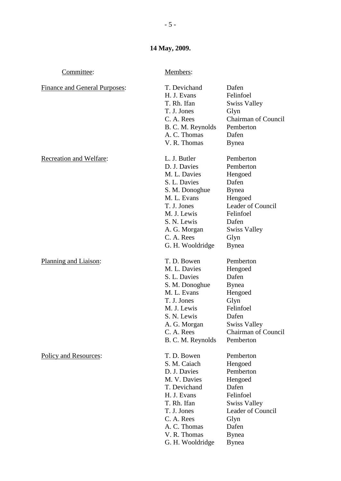| Committee:                           | Members:                                                                                                                                                                                     |                                                                                                                                                                  |
|--------------------------------------|----------------------------------------------------------------------------------------------------------------------------------------------------------------------------------------------|------------------------------------------------------------------------------------------------------------------------------------------------------------------|
| <b>Finance and General Purposes:</b> | T. Devichand<br>H. J. Evans<br>T. Rh. Ifan<br>T. J. Jones<br>C. A. Rees<br>B. C. M. Reynolds<br>A. C. Thomas<br>V. R. Thomas                                                                 | Dafen<br>Felinfoel<br><b>Swiss Valley</b><br>Glyn<br>Chairman of Council<br>Pemberton<br>Dafen<br><b>B</b> ynea                                                  |
| Recreation and Welfare:              | L. J. Butler<br>D. J. Davies<br>M. L. Davies<br>S. L. Davies<br>S. M. Donoghue<br>M. L. Evans<br>T. J. Jones<br>M. J. Lewis<br>S. N. Lewis<br>A. G. Morgan<br>C. A. Rees<br>G. H. Wooldridge | Pemberton<br>Pemberton<br>Hengoed<br>Dafen<br><b>Bynea</b><br>Hengoed<br>Leader of Council<br>Felinfoel<br>Dafen<br><b>Swiss Valley</b><br>Glyn<br><b>B</b> ynea |
| Planning and Liaison:                | T. D. Bowen<br>M. L. Davies<br>S. L. Davies<br>S. M. Donoghue<br>M. L. Evans<br>T. J. Jones<br>M. J. Lewis<br>S. N. Lewis<br>A. G. Morgan<br>C. A. Rees<br>B. C. M. Reynolds                 | Pemberton<br>Hengoed<br>Dafen<br><b>B</b> ynea<br>Hengoed<br>Glyn<br>Felinfoel<br>Dafen<br><b>Swiss Valley</b><br><b>Chairman of Council</b><br>Pemberton        |
| <b>Policy and Resources:</b>         | T. D. Bowen<br>S. M. Caiach<br>D. J. Davies<br>M. V. Davies<br>T. Devichand<br>H. J. Evans<br>T. Rh. Ifan<br>T. J. Jones<br>C. A. Rees<br>A. C. Thomas<br>V. R. Thomas                       | Pemberton<br>Hengoed<br>Pemberton<br>Hengoed<br>Dafen<br>Felinfoel<br><b>Swiss Valley</b><br>Leader of Council<br>Glyn<br>Dafen<br><b>Bynea</b>                  |

G. H. Wooldridge Bynea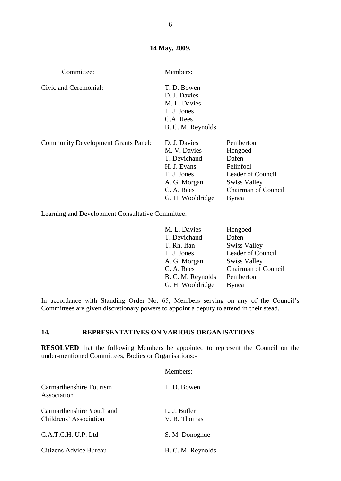| Committee:                                 | Members:                                                                                                                     |                                                                                                                               |
|--------------------------------------------|------------------------------------------------------------------------------------------------------------------------------|-------------------------------------------------------------------------------------------------------------------------------|
| Civic and Ceremonial:                      | T. D. Bowen<br>D. J. Davies<br>M. L. Davies<br>T. J. Jones<br>C.A. Rees<br>B. C. M. Reynolds                                 |                                                                                                                               |
| <b>Community Development Grants Panel:</b> | D. J. Davies<br>M. V. Davies<br>T. Devichand<br>H. J. Evans<br>T. J. Jones<br>A. G. Morgan<br>C. A. Rees<br>G. H. Wooldridge | Pemberton<br>Hengoed<br>Dafen<br>Felinfoel<br>Leader of Council<br><b>Swiss Valley</b><br><b>Chairman of Council</b><br>Bynea |

Learning and Development Consultative Committee:

| M. L. Davies      | Hengoed                    |
|-------------------|----------------------------|
| T. Devichand      | Dafen                      |
| T. Rh. Ifan       | <b>Swiss Valley</b>        |
| T. J. Jones       | Leader of Council          |
| A. G. Morgan      | <b>Swiss Valley</b>        |
| C. A. Rees        | <b>Chairman of Council</b> |
| B. C. M. Reynolds | Pemberton                  |
| G. H. Wooldridge  | <b>B</b> ynea              |

In accordance with Standing Order No. 65, Members serving on any of the Council's Committees are given discretionary powers to appoint a deputy to attend in their stead.

## **14. REPRESENTATIVES ON VARIOUS ORGANISATIONS**

**RESOLVED** that the following Members be appointed to represent the Council on the under-mentioned Committees, Bodies or Organisations:-

|                                                     | Members:                     |
|-----------------------------------------------------|------------------------------|
| Carmarthenshire Tourism<br>Association              | T. D. Bowen                  |
| Carmarthenshire Youth and<br>Childrens' Association | L. J. Butler<br>V. R. Thomas |
| C.A.T.C.H. U.P. Ltd                                 | S. M. Donoghue               |
| Citizens Advice Bureau                              | B. C. M. Reynolds            |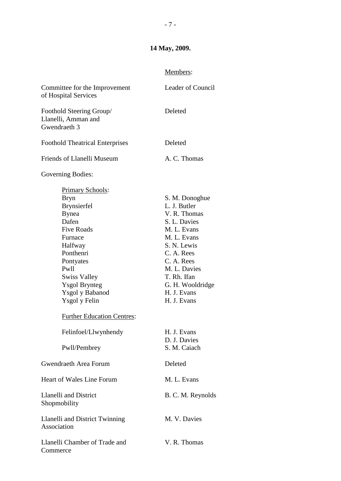## Members:

| Committee for the Improvement<br>of Hospital Services                                                                                                                                                                                                                                      | Leader of Council                                                                                                                                                                                                        |
|--------------------------------------------------------------------------------------------------------------------------------------------------------------------------------------------------------------------------------------------------------------------------------------------|--------------------------------------------------------------------------------------------------------------------------------------------------------------------------------------------------------------------------|
| Foothold Steering Group/<br>Llanelli, Amman and<br>Gwendraeth 3                                                                                                                                                                                                                            | Deleted                                                                                                                                                                                                                  |
| <b>Foothold Theatrical Enterprises</b>                                                                                                                                                                                                                                                     | Deleted                                                                                                                                                                                                                  |
| Friends of Llanelli Museum                                                                                                                                                                                                                                                                 | A. C. Thomas                                                                                                                                                                                                             |
| Governing Bodies:                                                                                                                                                                                                                                                                          |                                                                                                                                                                                                                          |
| Primary Schools:<br><b>Bryn</b><br><b>Brynsierfel</b><br><b>Bynea</b><br>Dafen<br><b>Five Roads</b><br>Furnace<br>Halfway<br>Ponthenri<br>Pontyates<br>Pw11<br><b>Swiss Valley</b><br><b>Ysgol Brynteg</b><br><b>Ysgol</b> y Babanod<br>Ysgol y Felin<br><b>Further Education Centres:</b> | S. M. Donoghue<br>L. J. Butler<br>V. R. Thomas<br>S. L. Davies<br>M. L. Evans<br>M. L. Evans<br>S. N. Lewis<br>C. A. Rees<br>C. A. Rees<br>M. L. Davies<br>T. Rh. Ifan<br>G. H. Wooldridge<br>H. J. Evans<br>H. J. Evans |
| Felinfoel/Llwynhendy                                                                                                                                                                                                                                                                       | H. J. Evans<br>D. J. Davies                                                                                                                                                                                              |
| Pwll/Pembrey                                                                                                                                                                                                                                                                               | S. M. Caiach                                                                                                                                                                                                             |
| Gwendraeth Area Forum                                                                                                                                                                                                                                                                      | Deleted                                                                                                                                                                                                                  |
| <b>Heart of Wales Line Forum</b><br><b>Llanelli and District</b><br>Shopmobility                                                                                                                                                                                                           | M. L. Evans<br>B. C. M. Reynolds                                                                                                                                                                                         |
| Llanelli and District Twinning<br>Association                                                                                                                                                                                                                                              | M. V. Davies                                                                                                                                                                                                             |
| Llanelli Chamber of Trade and<br>Commerce                                                                                                                                                                                                                                                  | V. R. Thomas                                                                                                                                                                                                             |